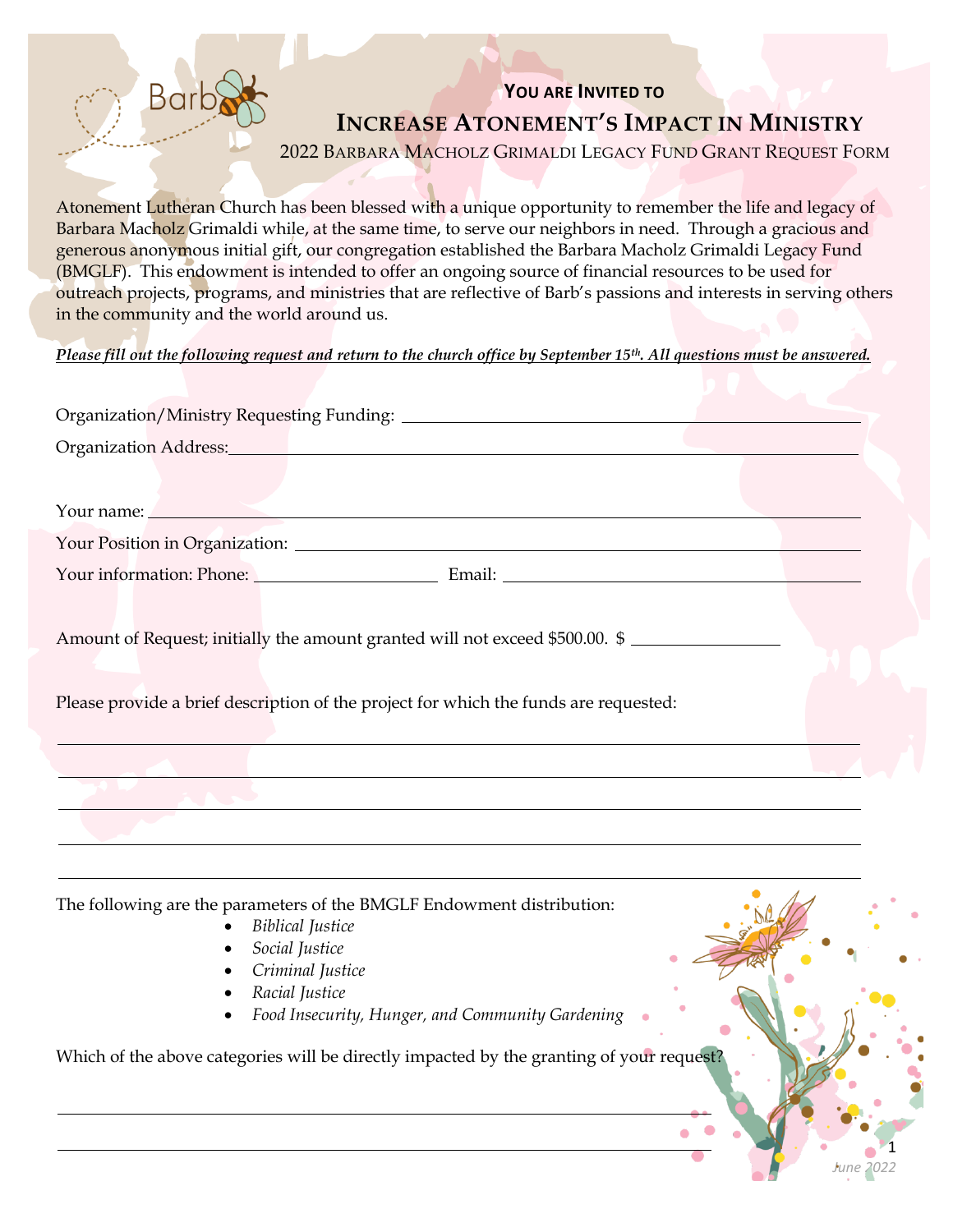## **YOU ARE INVITED TO INCREASE ATONEMENT'S IMPACT IN MINISTRY**

2022 BARBARA MACHOLZ GRIMALDI LEGACY FUND GRANT REQUEST FORM

Atonement Lutheran Church has been blessed with a unique opportunity to remember the life and legacy of Barbara Macholz Grimaldi while, at the same time, to serve our neighbors in need. Through a gracious and generous anonymous initial gift, our congregation established the Barbara Macholz Grimaldi Legacy Fund (BMGLF). This endowment is intended to offer an ongoing source of financial resources to be used for outreach projects, programs, and ministries that are reflective of Barb's passions and interests in serving others in the community and the world around us.

*Please fill out the following request and return to the church office by September 15th. All questions must be answered.*

| Organization Address: No. 1997 and 2008 and 2009 and 2009 and 2009 and 2009 and 2009 and 2009 and 2009 and 200                                                                                                                 |  |
|--------------------------------------------------------------------------------------------------------------------------------------------------------------------------------------------------------------------------------|--|
|                                                                                                                                                                                                                                |  |
| Your name: Now we have a state of the state of the state of the state of the state of the state of the state of the state of the state of the state of the state of the state of the state of the state of the state of the st |  |
|                                                                                                                                                                                                                                |  |
| Your information: Phone: Email: Email: Email: 2007                                                                                                                                                                             |  |
| Amount of Request; initially the amount granted will not exceed \$500.00. \$                                                                                                                                                   |  |
| Please provide a brief description of the project for which the funds are requested:                                                                                                                                           |  |
| <u> 1980 - Johann Barbara, marka a shekara tsa na shekara tsa na shekara tsa na shekara tsa na shekara tsa na sh</u>                                                                                                           |  |
|                                                                                                                                                                                                                                |  |
|                                                                                                                                                                                                                                |  |
|                                                                                                                                                                                                                                |  |
|                                                                                                                                                                                                                                |  |

The following are the parameters of the BMGLF Endowment distribution:

- *Biblical Justice*
- *Social Justice*
- *Criminal Justice*
- *Racial Justice*
- *Food Insecurity, Hunger, and Community Gardening*

1

*June 2022*

Which of the above categories will be directly impacted by the granting of your request?